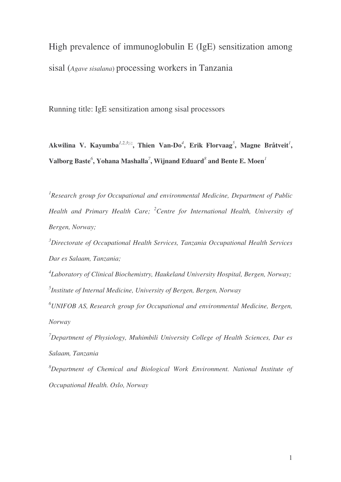High prevalence of immunoglobulin E (IgE) sensitization among sisal (*Agave sisalana*) processing workers in Tanzania

Running title: IgE sensitization among sisal processors

**Akwilina V. Kayumba** *1,2,3***, Thien Van-Do** *4* **, Erik Florvaag** *5* **, Magne Bråtveit** *1* **, Valborg Baste** *6* **, Yohana Mashalla** *7* **, Wijnand Eduard** *8* **and Bente E. Moen** *1*

*1 Research group for Occupational and environmental Medicine, Department of Public Health and Primary Health Care; <sup>2</sup>Centre for International Health, University of Bergen, Norway;*

*<sup>3</sup>Directorate of Occupational Health Services, Tanzania Occupational Health Services Dar es Salaam, Tanzania;*

*4 Laboratory of Clinical Biochemistry, Haukeland University Hospital, Bergen, Norway; 5 Institute of Internal Medicine, University of Bergen, Bergen, Norway*

*<sup>6</sup>UNIFOB AS, Research group for Occupational and environmental Medicine, Bergen, Norway*

*<sup>7</sup>Department of Physiology, Muhimbili University College of Health Sciences, Dar es Salaam, Tanzania*

*<sup>8</sup>Department of Chemical and Biological Work Environment. National Institute of Occupational Health. Oslo, Norway*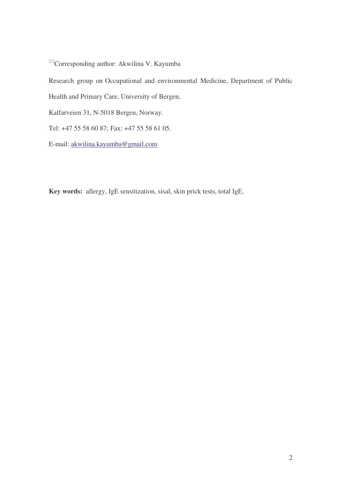$\mathbb{Z}_\text{Corresponding author: Akwilina V. Kayumba}$ 

Research group on Occupational and environmental Medicine, Department of Public

Health and Primary Care, University of Bergen,

Kalfarveien 31, N-5018 Bergen, Norway.

Tel: +47 55 58 60 87; Fax: +47 55 58 61 05.

E-mail: akwilina.kayumba@gmail.com

**Key words:** allergy, IgE sensitization, sisal, skin prick tests, total IgE.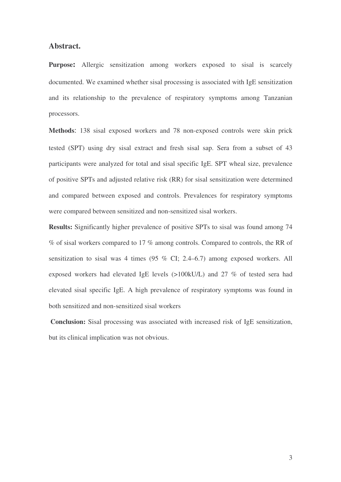# **Abstract.**

**Purpose:** Allergic sensitization among workers exposed to sisal is scarcely documented. We examined whether sisal processing is associated with IgE sensitization and its relationship to the prevalence of respiratory symptoms among Tanzanian processors.

**Methods**: 138 sisal exposed workers and 78 non-exposed controls were skin prick tested (SPT) using dry sisal extract and fresh sisal sap. Sera from a subset of 43 participants were analyzed for total and sisal specific IgE. SPT wheal size, prevalence of positive SPTs and adjusted relative risk (RR) for sisal sensitization were determined and compared between exposed and controls. Prevalences for respiratory symptoms were compared between sensitized and non-sensitized sisal workers.

**Results:** Significantly higher prevalence of positive SPTs to sisal was found among 74 % of sisal workers compared to 17 % among controls. Compared to controls, the RR of sensitization to sisal was 4 times (95 % CI; 2.4–6.7) among exposed workers. All exposed workers had elevated IgE levels (>100kU/L) and 27 % of tested sera had elevated sisal specific IgE. A high prevalence of respiratory symptoms was found in both sensitized and non-sensitized sisal workers

**Conclusion:** Sisal processing was associated with increased risk of IgE sensitization, but its clinical implication was not obvious.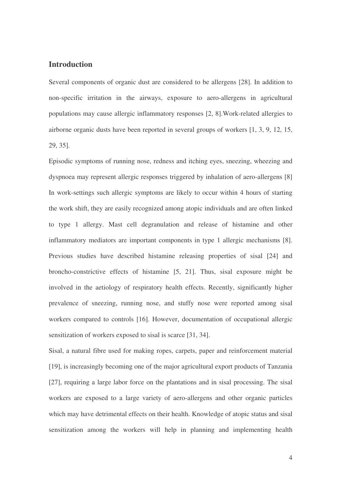# **Introduction**

Several components of organic dust are considered to be allergens [28]. In addition to non-specific irritation in the airways, exposure to aero-allergens in agricultural populations may cause allergic inflammatory responses [2, 8].Work-related allergies to airborne organic dusts have been reported in several groups of workers [1, 3, 9, 12, 15, 29, 35].

Episodic symptoms of running nose, redness and itching eyes, sneezing, wheezing and dyspnoea may represent allergic responses triggered by inhalation of aero-allergens [8] In work-settings such allergic symptoms are likely to occur within 4 hours of starting the work shift, they are easily recognized among atopic individuals and are often linked to type 1 allergy. Mast cell degranulation and release of histamine and other inflammatory mediators are important components in type 1 allergic mechanisms [8]. Previous studies have described histamine releasing properties of sisal [24] and broncho-constrictive effects of histamine [5, 21]. Thus, sisal exposure might be involved in the aetiology of respiratory health effects. Recently, significantly higher prevalence of sneezing, running nose, and stuffy nose were reported among sisal workers compared to controls [16]. However, documentation of occupational allergic sensitization of workers exposed to sisal is scarce [31, 34].

Sisal, a natural fibre used for making ropes, carpets, paper and reinforcement material [19], is increasingly becoming one of the major agricultural export products of Tanzania [27], requiring a large labor force on the plantations and in sisal processing. The sisal workers are exposed to a large variety of aero-allergens and other organic particles which may have detrimental effects on their health. Knowledge of atopic status and sisal sensitization among the workers will help in planning and implementing health

4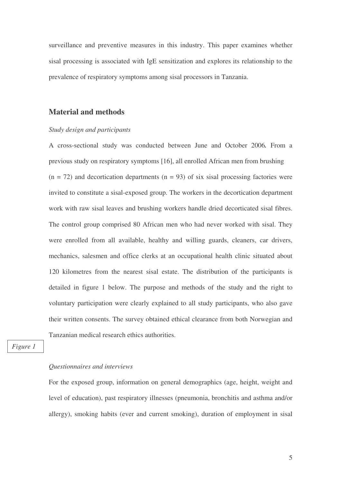surveillance and preventive measures in this industry. This paper examines whether sisal processing is associated with IgE sensitization and explores its relationship to the prevalence of respiratory symptoms among sisal processors in Tanzania.

# **Material and methods**

#### *Study design and participants*

A cross-sectional study was conducted between June and October 2006*.* From a previous study on respiratory symptoms [16], all enrolled African men from brushing  $(n = 72)$  and decortication departments  $(n = 93)$  of six sisal processing factories were invited to constitute a sisal-exposed group. The workers in the decortication department work with raw sisal leaves and brushing workers handle dried decorticated sisal fibres. The control group comprised 80 African men who had never worked with sisal. They were enrolled from all available, healthy and willing guards, cleaners, car drivers, mechanics, salesmen and office clerks at an occupational health clinic situated about 120 kilometres from the nearest sisal estate. The distribution of the participants is detailed in figure 1 below. The purpose and methods of the study and the right to voluntary participation were clearly explained to all study participants, who also gave their written consents. The survey obtained ethical clearance from both Norwegian and Tanzanian medical research ethics authorities.

*Figure 1*

### *Questionnaires and interviews*

For the exposed group, information on general demographics (age, height, weight and level of education), past respiratory illnesses (pneumonia, bronchitis and asthma and/or allergy), smoking habits (ever and current smoking), duration of employment in sisal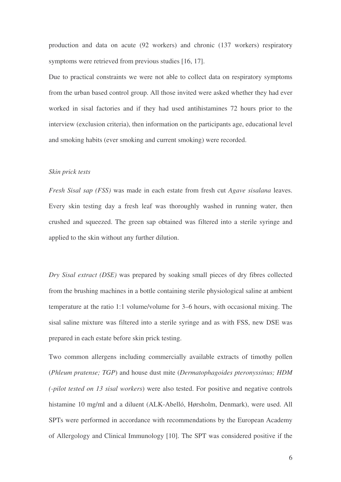production and data on acute (92 workers) and chronic (137 workers) respiratory symptoms were retrieved from previous studies [16, 17].

Due to practical constraints we were not able to collect data on respiratory symptoms from the urban based control group. All those invited were asked whether they had ever worked in sisal factories and if they had used antihistamines 72 hours prior to the interview (exclusion criteria), then information on the participants age, educational level and smoking habits (ever smoking and current smoking) were recorded.

## *Skin prick tests*

*Fresh Sisal sap (FSS)* was made in each estate from fresh cut *Agave sisalana* leaves. Every skin testing day a fresh leaf was thoroughly washed in running water, then crushed and squeezed. The green sap obtained was filtered into a sterile syringe and applied to the skin without any further dilution.

*Dry Sisal extract (DSE)* was prepared by soaking small pieces of dry fibres collected from the brushing machines in a bottle containing sterile physiological saline at ambient temperature at the ratio 1:1 volume/volume for 3–6 hours, with occasional mixing. The sisal saline mixture was filtered into a sterile syringe and as with FSS, new DSE was prepared in each estate before skin prick testing.

Two common allergens including commercially available extracts of timothy pollen (*Phleum pratense; TGP*) and house dust mite (*Dermatophagoides pteronyssinus; HDM (-pilot tested on 13 sisal workers*) were also tested. For positive and negative controls histamine 10 mg/ml and a diluent (ALK-Abelló, Hørsholm, Denmark), were used. All SPTs were performed in accordance with recommendations by the European Academy of Allergology and Clinical Immunology [10]. The SPT was considered positive if the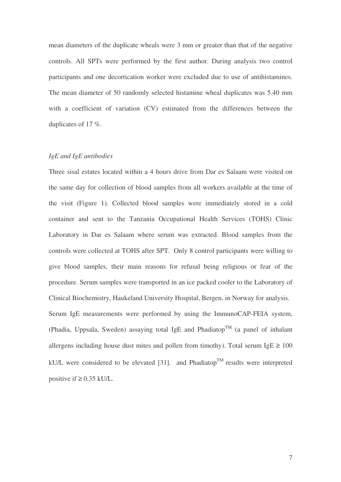mean diameters of the duplicate wheals were 3 mm or greater than that of the negative controls. All SPTs were performed by the first author. During analysis two control participants and one decortication worker were excluded due to use of antihistamines. The mean diameter of 50 randomly selected histamine wheal duplicates was 5.40 mm with a coefficient of variation (CV) estimated from the differences between the duplicates of 17 %.

### *IgE and IgE antibodies*

Three sisal estates located within a 4 hours drive from Dar es Salaam were visited on the same day for collection of blood samples from all workers available at the time of the visit (Figure 1). Collected blood samples were immediately stored in a cold container and sent to the Tanzania Occupational Health Services (TOHS) Clinic Laboratory in Dar es Salaam where serum was extracted. Blood samples from the controls were collected at TOHS after SPT. Only 8 control participants were willing to give blood samples, their main reasons for refusal being religious or fear of the procedure. Serum samples were transported in an ice packed cooler to the Laboratory of Clinical Biochemistry, Haukeland University Hospital, Bergen, in Norway for analysis. Serum IgE measurements were performed by using the ImmunoCAP-FEIA system, (Phadia, Uppsala, Sweden) assaying total IgE and Phadiatop<sup>TM</sup> (a panel of inhalant allergens including house dust mites and pollen from timothy). Total serum IgE  $\geq$  100 kU/L were considered to be elevated [31]. and Phadiatop<sup>TM</sup> results were interpreted positive if  $\geq 0.35$  kU/L.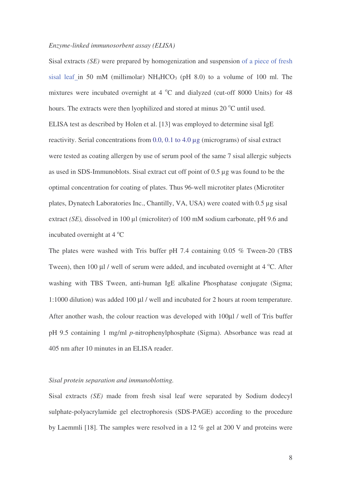#### *Enzyme-linked immunosorbent assay (ELISA)*

Sisal extracts *(SE)* were prepared by homogenization and suspension of a piece of fresh sisal leaf in 50 mM (millimolar)  $NH_4HCO_3$  (pH 8.0) to a volume of 100 ml. The mixtures were incubated overnight at  $4^{\circ}$ C and dialyzed (cut-off 8000 Units) for 48 hours. The extracts were then lyophilized and stored at minus 20 °C until used. ELISA test as described by Holen et al. [13] was employed to determine sisal IgE reactivity. Serial concentrations from 0.0, 0.1 to 4.0 µg (micrograms) of sisal extract were tested as coating allergen by use of serum pool of the same 7 sisal allergic subjects as used in SDS-Immunoblots. Sisal extract cut off point of 0.5 µg was found to be the optimal concentration for coating of plates. Thus 96-well microtiter plates (Microtiter plates, Dynatech Laboratories Inc., Chantilly, VA, USA) were coated with 0.5 µg sisal extract *(SE)*, dissolved in 100 µl (microliter) of 100 mM sodium carbonate, pH 9.6 and incubated overnight at  $4^{\circ}$ C

The plates were washed with Tris buffer pH 7.4 containing 0.05 % Tween-20 (TBS Tween), then 100  $\mu$ l / well of serum were added, and incubated overnight at 4 °C. After washing with TBS Tween, anti-human IgE alkaline Phosphatase conjugate (Sigma; 1:1000 dilution) was added 100 µl / well and incubated for 2 hours at room temperature. After another wash, the colour reaction was developed with 100µl / well of Tris buffer pH 9.5 containing 1 mg/ml *p*-nitrophenylphosphate (Sigma). Absorbance was read at 405 nm after 10 minutes in an ELISA reader.

## *Sisal protein separation and immunoblotting.*

Sisal extracts *(SE)* made from fresh sisal leaf were separated by Sodium dodecyl sulphate-polyacrylamide gel electrophoresis (SDS-PAGE) according to the procedure by Laemmli [18]. The samples were resolved in a 12 % gel at 200 V and proteins were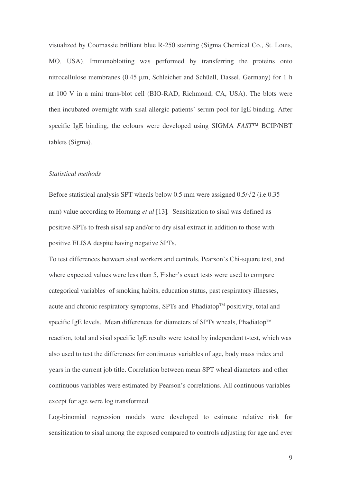visualized by Coomassie brilliant blue R-250 staining (Sigma Chemical Co., St. Louis, MO, USA). Immunoblotting was performed by transferring the proteins onto nitrocellulose membranes (0.45 µm, Schleicher and Schüell, Dassel, Germany) for 1 h at 100 V in a mini trans-blot cell (BIO-RAD, Richmond, CA, USA). The blots were then incubated overnight with sisal allergic patients' serum pool for IgE binding. After specific IgE binding, the colours were developed using SIGMA *FAST<sup>IM</sup>* BCIP/NBT tablets (Sigma).

### *Statistical methods*

Before statistical analysis SPT wheals below 0.5 mm were assigned  $0.5/\sqrt{2}$  (i.e. 0.35 mm) value according to Hornung *et al* [13]*.* Sensitization to sisal was defined as positive SPTs to fresh sisal sap and/or to dry sisal extract in addition to those with positive ELISA despite having negative SPTs.

To test differences between sisal workers and controls, Pearson's Chi-square test, and where expected values were less than 5, Fisher's exact tests were used to compare categorical variables of smoking habits, education status, past respiratory illnesses, acute and chronic respiratory symptoms, SPTs and Phadiatop™ positivity, total and specific IgE levels. Mean differences for diameters of SPTs wheals, Phadiatop™ reaction, total and sisal specific IgE results were tested by independent t-test, which was also used to test the differences for continuous variables of age, body mass index and years in the current job title. Correlation between mean SPT wheal diameters and other continuous variables were estimated by Pearson's correlations. All continuous variables except for age were log transformed.

Log-binomial regression models were developed to estimate relative risk for sensitization to sisal among the exposed compared to controls adjusting for age and ever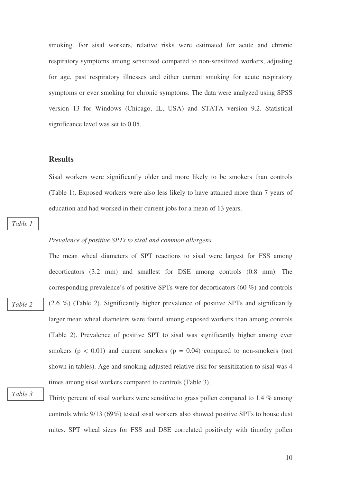smoking. For sisal workers, relative risks were estimated for acute and chronic respiratory symptoms among sensitized compared to non-sensitized workers, adjusting for age, past respiratory illnesses and either current smoking for acute respiratory symptoms or ever smoking for chronic symptoms. The data were analyzed using SPSS version 13 for Windows (Chicago, IL, USA) and STATA version 9.2. Statistical significance level was set to 0.05.

# **Results**

Sisal workers were significantly older and more likely to be smokers than controls (Table 1). Exposed workers were also less likely to have attained more than 7 years of education and had worked in their current jobs for a mean of 13 years.

*Table 1*

*Table 2*

#### *Prevalence of positive SPTs to sisal and common allergens*

The mean wheal diameters of SPT reactions to sisal were largest for FSS among decorticators (3.2 mm) and smallest for DSE among controls (0.8 mm). The corresponding prevalence's of positive SPTs were for decorticators (60 %) and controls (2.6 %) (Table 2). Significantly higher prevalence of positive SPTs and significantly larger mean wheal diameters were found among exposed workers than among controls (Table 2). Prevalence of positive SPT to sisal was significantly higher among ever smokers ( $p < 0.01$ ) and current smokers ( $p = 0.04$ ) compared to non-smokers (not shown in tables). Age and smoking adjusted relative risk for sensitization to sisal was 4 times among sisal workers compared to controls (Table 3).

*Table 3*

Thirty percent of sisal workers were sensitive to grass pollen compared to 1.4 % among controls while 9/13 (69%) tested sisal workers also showed positive SPTs to house dust mites. SPT wheal sizes for FSS and DSE correlated positively with timothy pollen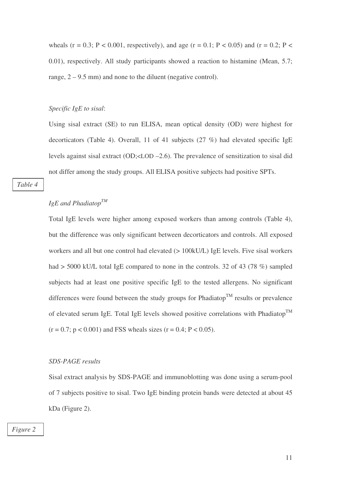wheals (r = 0.3; P < 0.001, respectively), and age (r = 0.1; P < 0.05) and (r = 0.2; P < 0.01), respectively. All study participants showed a reaction to histamine (Mean, 5.7; range,  $2 - 9.5$  mm) and none to the diluent (negative control).

#### *Specific IgE to sisal*:

Using sisal extract (SE) to run ELISA, mean optical density (OD) were highest for decorticators (Table 4). Overall, 11 of 41 subjects (27 %) had elevated specific IgE levels against sisal extract (OD;<LOD –2.6). The prevalence of sensitization to sisal did not differ among the study groups. All ELISA positive subjects had positive SPTs.

*Table 4*

# *IgE and Phadiatop TM*

Total IgE levels were higher among exposed workers than among controls (Table 4), but the difference was only significant between decorticators and controls. All exposed workers and all but one control had elevated ( $> 100$ kU/L) IgE levels. Five sisal workers had  $>$  5000 kU/L total IgE compared to none in the controls. 32 of 43 (78 %) sampled subjects had at least one positive specific IgE to the tested allergens. No significant differences were found between the study groups for Phadiatop<sup>TM</sup> results or prevalence of elevated serum IgE. Total IgE levels showed positive correlations with Phadiatop<sup>TM</sup>  $(r = 0.7; p < 0.001)$  and FSS wheals sizes  $(r = 0.4; P < 0.05)$ .

## *SDS-PAGE results*

Sisal extract analysis by SDS-PAGE and immunoblotting was done using a serum-pool of 7 subjects positive to sisal. Two IgE binding protein bands were detected at about 45 kDa (Figure 2).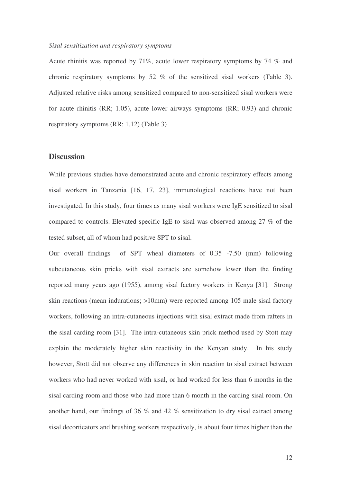### *Sisal sensitization and respiratory symptoms*

Acute rhinitis was reported by 71%, acute lower respiratory symptoms by 74 % and chronic respiratory symptoms by 52 % of the sensitized sisal workers (Table 3). Adjusted relative risks among sensitized compared to non-sensitized sisal workers were for acute rhinitis (RR; 1.05), acute lower airways symptoms (RR; 0.93) and chronic respiratory symptoms (RR; 1.12) (Table 3)

# **Discussion**

While previous studies have demonstrated acute and chronic respiratory effects among sisal workers in Tanzania [16, 17, 23], immunological reactions have not been investigated. In this study, four times as many sisal workers were IgE sensitized to sisal compared to controls. Elevated specific IgE to sisal was observed among 27 % of the tested subset, all of whom had positive SPT to sisal.

Our overall findings of SPT wheal diameters of 0.35 -7.50 (mm) following subcutaneous skin pricks with sisal extracts are somehow lower than the finding reported many years ago (1955), among sisal factory workers in Kenya [31]. Strong skin reactions (mean indurations; >10mm) were reported among 105 male sisal factory workers, following an intra-cutaneous injections with sisal extract made from rafters in the sisal carding room [31]. The intra-cutaneous skin prick method used by Stott may explain the moderately higher skin reactivity in the Kenyan study. In his study however, Stott did not observe any differences in skin reaction to sisal extract between workers who had never worked with sisal, or had worked for less than 6 months in the sisal carding room and those who had more than 6 month in the carding sisal room. On another hand, our findings of 36 % and 42 % sensitization to dry sisal extract among sisal decorticators and brushing workers respectively, is about four times higher than the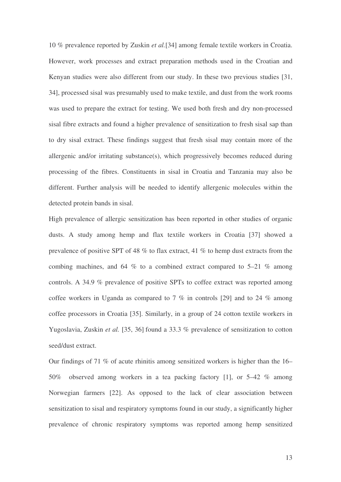10 % prevalence reported by Zuskin *et al.*[34] among female textile workers in Croatia. However, work processes and extract preparation methods used in the Croatian and Kenyan studies were also different from our study. In these two previous studies [31, 34], processed sisal was presumably used to make textile, and dust from the work rooms was used to prepare the extract for testing. We used both fresh and dry non-processed sisal fibre extracts and found a higher prevalence of sensitization to fresh sisal sap than to dry sisal extract. These findings suggest that fresh sisal may contain more of the allergenic and/or irritating substance(s), which progressively becomes reduced during processing of the fibres. Constituents in sisal in Croatia and Tanzania may also be different. Further analysis will be needed to identify allergenic molecules within the detected protein bands in sisal.

High prevalence of allergic sensitization has been reported in other studies of organic dusts. A study among hemp and flax textile workers in Croatia [37] showed a prevalence of positive SPT of 48 % to flax extract, 41 % to hemp dust extracts from the combing machines, and 64 % to a combined extract compared to 5–21 % among controls. A 34.9 % prevalence of positive SPTs to coffee extract was reported among coffee workers in Uganda as compared to 7 % in controls [29] and to 24 % among coffee processors in Croatia [35]. Similarly, in a group of 24 cotton textile workers in Yugoslavia, Zuskin *et al.* [35, 36] found a 33.3 % prevalence of sensitization to cotton seed/dust extract.

Our findings of 71 % of acute rhinitis among sensitized workers is higher than the 16– 50% observed among workers in a tea packing factory [1], or 5–42 % among Norwegian farmers [22]. As opposed to the lack of clear association between sensitization to sisal and respiratory symptoms found in our study, a significantly higher prevalence of chronic respiratory symptoms was reported among hemp sensitized

13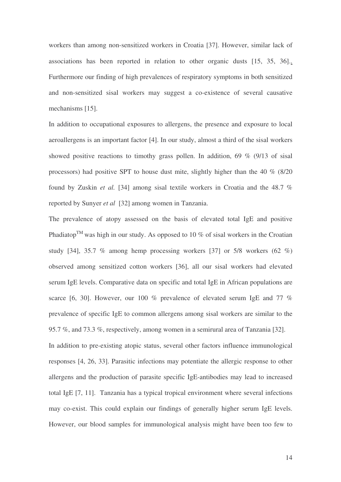workers than among non-sensitized workers in Croatia [37]. However, similar lack of associations has been reported in relation to other organic dusts [15, 35, 36].. Furthermore our finding of high prevalences of respiratory symptoms in both sensitized and non-sensitized sisal workers may suggest a co-existence of several causative mechanisms [15].

In addition to occupational exposures to allergens, the presence and exposure to local aeroallergens is an important factor [4]. In our study, almost a third of the sisal workers showed positive reactions to timothy grass pollen. In addition,  $69\%$  (9/13 of sisal processors) had positive SPT to house dust mite, slightly higher than the 40 % (8/20 found by Zuskin *et al.* [34] among sisal textile workers in Croatia and the 48.7 % reported by Sunyer *et al* [32] among women in Tanzania.

The prevalence of atopy assessed on the basis of elevated total IgE and positive Phadiatop<sup>TM</sup> was high in our study. As opposed to 10 % of sisal workers in the Croatian study [34], 35.7 % among hemp processing workers [37] or 5/8 workers (62 %) observed among sensitized cotton workers [36], all our sisal workers had elevated serum IgE levels. Comparative data on specific and total IgE in African populations are scarce [6, 30]. However, our 100 % prevalence of elevated serum IgE and 77 % prevalence of specific IgE to common allergens among sisal workers are similar to the 95.7 %, and 73.3 %, respectively, among women in a semirural area of Tanzania [32].

In addition to pre-existing atopic status, several other factors influence immunological responses [4, 26, 33]. Parasitic infections may potentiate the allergic response to other allergens and the production of parasite specific IgE-antibodies may lead to increased total IgE [7, 11]. Tanzania has a typical tropical environment where several infections may co-exist. This could explain our findings of generally higher serum IgE levels. However, our blood samples for immunological analysis might have been too few to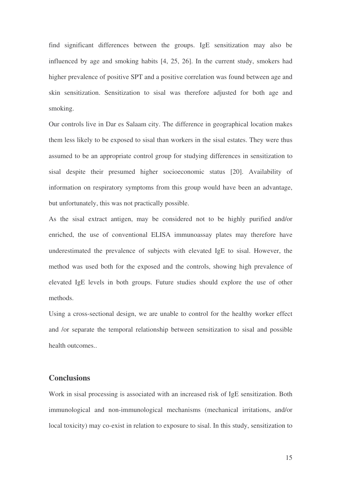find significant differences between the groups. IgE sensitization may also be influenced by age and smoking habits [4, 25, 26]. In the current study, smokers had higher prevalence of positive SPT and a positive correlation was found between age and skin sensitization. Sensitization to sisal was therefore adjusted for both age and smoking.

Our controls live in Dar es Salaam city. The difference in geographical location makes them less likely to be exposed to sisal than workers in the sisal estates. They were thus assumed to be an appropriate control group for studying differences in sensitization to sisal despite their presumed higher socioeconomic status [20]. Availability of information on respiratory symptoms from this group would have been an advantage, but unfortunately, this was not practically possible.

As the sisal extract antigen, may be considered not to be highly purified and/or enriched, the use of conventional ELISA immunoassay plates may therefore have underestimated the prevalence of subjects with elevated IgE to sisal. However, the method was used both for the exposed and the controls, showing high prevalence of elevated IgE levels in both groups. Future studies should explore the use of other methods.

Using a cross-sectional design, we are unable to control for the healthy worker effect and /or separate the temporal relationship between sensitization to sisal and possible health outcomes..

# **Conclusions**

Work in sisal processing is associated with an increased risk of IgE sensitization. Both immunological and non-immunological mechanisms (mechanical irritations, and/or local toxicity) may co-exist in relation to exposure to sisal. In this study, sensitization to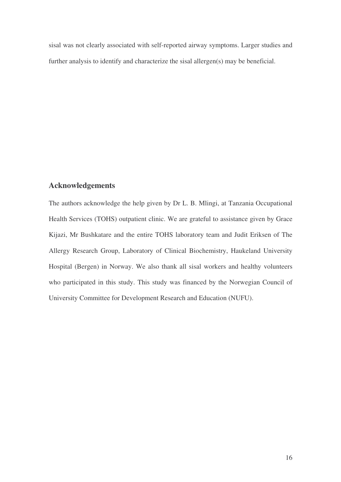sisal was not clearly associated with self-reported airway symptoms. Larger studies and further analysis to identify and characterize the sisal allergen(s) may be beneficial.

# **Acknowledgements**

The authors acknowledge the help given by Dr L. B. Mlingi, at Tanzania Occupational Health Services (TOHS) outpatient clinic. We are grateful to assistance given by Grace Kijazi, Mr Bushkatare and the entire TOHS laboratory team and Judit Eriksen of The Allergy Research Group, Laboratory of Clinical Biochemistry, Haukeland University Hospital (Bergen) in Norway. We also thank all sisal workers and healthy volunteers who participated in this study. This study was financed by the Norwegian Council of University Committee for Development Research and Education (NUFU).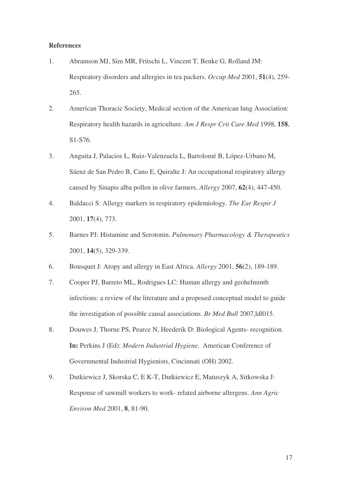### **References**

- 1. Abramson MJ, Sim MR, Fritschi L, Vincent T, Benke G, Rolland JM: Respiratory disorders and allergies in tea packers. *Occup Med* 2001, **51**(4), 259- 265.
- 2. American Thoracic Society, Medical section of the American lung Association: Respiratory health hazards in agriculture. *Am J Respr Crit Care Med* 1998, **158**, S1-S76.
- 3. Anguita J, Palacios L, Ruiz-Valenzuela L, Bartolomé B, López-Urbano M, Sáenz de San Pedro B, Cano E, Quiralte J: An occupational respiratory allergy caused by Sinapis alba pollen in olive farmers. *Allergy* 2007, **62**(4), 447-450.
- 4. Baldacci S: Allergy markers in respiratory epidemiology. *The Eur Respir J* 2001, **17**(4), 773.
- 5. Barnes PJ: Histamine and Serotonin. *Pulmonary Pharmacology & Therapeutics* 2001, **14**(5), 329-339.
- 6. Bousquet J: Atopy and allergy in East Africa. *Allergy* 2001, **56**(2), 189-189.
- 7. Cooper PJ, Barreto ML, Rodrigues LC: Human allergy and geohelminth infections: a review of the literature and a proposed conceptual model to guide the investigation of possible causal associations. *Br Med Bull* 2007,ldl015.
- 8. Douwes J, Thorne PS, Pearce N, Heederik D: Biological Agents- recognition. **In:** Perkins J (Ed): *Modern Industrial Hygiene.* American Conference of Governmental Industrial Hygienists, Cincinnati (OH) 2002.
- 9. Dutkiewicz J, Skorska C, E K-T, Dutkiewicz E, Matuszyk A, Sitkowska J: Response of sawmill workers to work- related airborne allergens. *Ann Agric Environ Med* 2001, **8**, 81-90.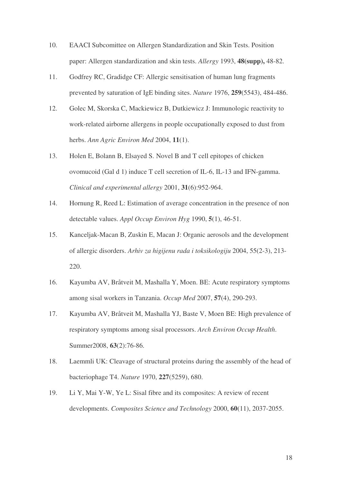- 10. EAACI Subcomittee on Allergen Standardization and Skin Tests. Position paper: Allergen standardization and skin tests. *Allergy* 1993, **48(supp),** 48-82.
- 11. Godfrey RC, Gradidge CF: Allergic sensitisation of human lung fragments prevented by saturation of IgE binding sites. *Nature* 1976, **259**(5543), 484-486.
- 12. Golec M, Skorska C, Mackiewicz B, Dutkiewicz J: Immunologic reactivity to work-related airborne allergens in people occupationally exposed to dust from herbs. *Ann Agric Environ Med* 2004, **11**(1).
- 13. Holen E, Bolann B, Elsayed S. Novel B and T cell epitopes of chicken ovomucoid (Gal d 1) induce T cell secretion of IL-6, IL-13 and IFN-gamma. *Clinical and experimental allergy* 2001, **31**(6):952-964.
- 14. Hornung R, Reed L: Estimation of average concentration in the presence of non detectable values. *Appl Occup Environ Hyg* 1990, **5**(1), 46-51.
- 15. Kanceljak-Macan B, Zuskin E, Macan J: Organic aerosols and the development of allergic disorders. *Arhiv za higijenu rada i toksikologiju* 2004, 55(2-3), 213- 220.
- 16. Kayumba AV, Bråtveit M, Mashalla Y, Moen. BE: Acute respiratory symptoms among sisal workers in Tanzania. *Occup Med* 2007, **57**(4), 290-293.
- 17. Kayumba AV, Bråtveit M, Mashalla YJ, Baste V, Moen BE: High prevalence of respiratory symptoms among sisal processors. *Arch Environ Occup Health*. Summer2008, **63**(2):76-86.
- 18. Laemmli UK: Cleavage of structural proteins during the assembly of the head of bacteriophage T4. *Nature* 1970, **227**(5259), 680.
- 19. Li Y, Mai Y-W, Ye L: Sisal fibre and its composites: A review of recent developments. *Composites Science and Technology* 2000, **60**(11), 2037-2055.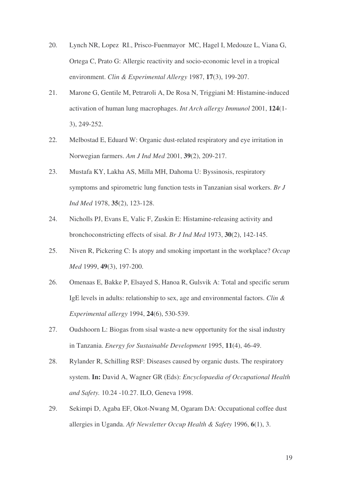- 20. Lynch NR, Lopez RI., Prisco-Fuenmayor MC, Hagel I, Medouze L, Viana G, Ortega C, Prato G: Allergic reactivity and socio-economic level in a tropical environment. *Clin & Experimental Allergy* 1987, **17**(3), 199-207.
- 21. Marone G, Gentile M, Petraroli A, De Rosa N, Triggiani M: Histamine-induced activation of human lung macrophages. *Int Arch allergy Immunol* 2001, **124**(1- 3), 249-252.
- 22. Melbostad E, Eduard W: Organic dust-related respiratory and eye irritation in Norwegian farmers. *Am J Ind Med* 2001, **39**(2), 209-217.
- 23. Mustafa KY, Lakha AS, Milla MH, Dahoma U: Byssinosis, respiratory symptoms and spirometric lung function tests in Tanzanian sisal workers. *Br J Ind Med* 1978, **35**(2), 123-128.
- 24. Nicholls PJ, Evans E, Valic F, Zuskin E: Histamine-releasing activity and bronchoconstricting effects of sisal. *Br J Ind Med* 1973, **30**(2), 142-145.
- 25. Niven R, Pickering C: Is atopy and smoking important in the workplace? *Occup Med* 1999, **49**(3), 197-200.
- 26. Omenaas E, Bakke P, Elsayed S, Hanoa R, Gulsvik A: Total and specific serum IgE levels in adults: relationship to sex, age and environmental factors. *Clin & Experimental allergy* 1994, **24**(6), 530-539.
- 27. Oudshoorn L: Biogas from sisal waste-a new opportunity for the sisal industry in Tanzania. *Energy for Sustainable Development* 1995, **11**(4), 46-49.
- 28. Rylander R, Schilling RSF: Diseases caused by organic dusts. The respiratory system. **In:** David A, Wagner GR (Eds): *Encyclopaedia of Occupational Health and Safety.* 10.24 -10.27. ILO, Geneva 1998.
- 29. Sekimpi D, Agaba EF, Okot-Nwang M, Ogaram DA: Occupational coffee dust allergies in Uganda. *Afr Newsletter Occup Health & Safety* 1996, **6**(1), 3.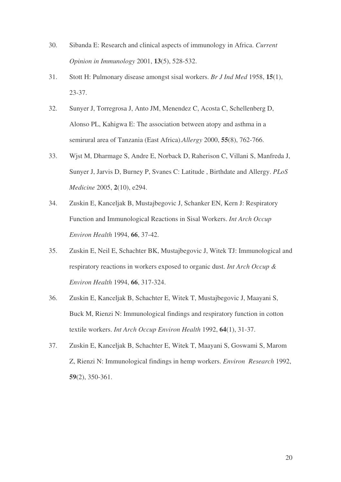- 30. Sibanda E: Research and clinical aspects of immunology in Africa. *Current Opinion in Immunology* 2001, **13**(5), 528-532.
- 31. Stott H: Pulmonary disease amongst sisal workers. *Br J Ind Med* 1958, **15**(1), 23-37.
- 32. Sunyer J, Torregrosa J, Anto JM, Menendez C, Acosta C, Schellenberg D, Alonso PL, Kahigwa E: The association between atopy and asthma in a semirural area of Tanzania (East Africa).*Allergy* 2000, **55**(8), 762-766.
- 33. Wjst M, Dharmage S, Andre E, Norback D, Raherison C, Villani S, Manfreda J, Sunyer J, Jarvis D, Burney P, Svanes C: Latitude , Birthdate and Allergy. *PLoS Medicine* 2005, **2**(10), e294.
- 34. Zuskin E, Kanceljak B, Mustajbegovic J, Schanker EN, Kern J: Respiratory Function and Immunological Reactions in Sisal Workers. *Int Arch Occup Environ Health* 1994, **66**, 37-42.
- 35. Zuskin E, Neil E, Schachter BK, Mustajbegovic J, Witek TJ: Immunological and respiratory reactions in workers exposed to organic dust. *Int Arch Occup & Environ Health* 1994, **66**, 317-324.
- 36. Zuskin E, Kanceljak B, Schachter E, Witek T, Mustajbegovic J, Maayani S, Buck M, Rienzi N: Immunological findings and respiratory function in cotton textile workers. *Int Arch Occup Environ Health* 1992, **64**(1), 31-37.
- 37. Zuskin E, Kanceljak B, Schachter E, Witek T, Maayani S, Goswami S, Marom Z, Rienzi N: Immunological findings in hemp workers. *Environ Research* 1992, **59**(2), 350-361.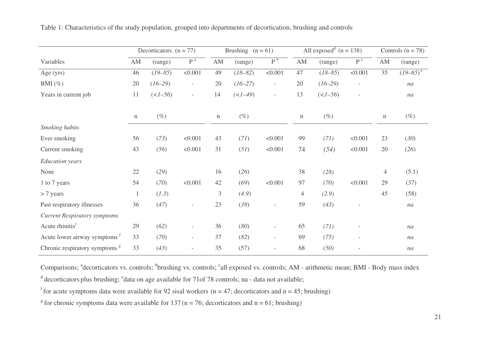|                                           |             | Decorticators $(n = 77)$ |                          |                        | Brushing $(n = 61)$ |                          |                        | All exposed <sup>d</sup> $(n = 138)$ |                              |                        | Controls $(n = 78)$    |  |
|-------------------------------------------|-------------|--------------------------|--------------------------|------------------------|---------------------|--------------------------|------------------------|--------------------------------------|------------------------------|------------------------|------------------------|--|
| Variables                                 | AM          | (range)                  | $P^a$                    | $\mathbf{A}\mathbf{M}$ | (range)             | P <sup>b</sup>           | $\mathbf{A}\mathbf{M}$ | (range)                              | $\mathbf{P}$ $^{\mathrm{c}}$ | $\mathbf{A}\mathbf{M}$ | (range)                |  |
| Age (yrs)                                 | 46          | $(19 - 85)$              | < 0.001                  | 49                     | $(18 - 82)$         | < 0.001                  | 47                     | $(18 - 85)$                          | < 0.001                      | 35                     | $(19-65)$ <sup>e</sup> |  |
| BMI $(\%)$                                | 20          | $(16 - 29)$              | $\overline{\phantom{a}}$ | $20\,$                 | $(16 - 27)$         | $\overline{\phantom{a}}$ | 20                     | $(16-29)$                            | $\overline{\phantom{a}}$     |                        | na                     |  |
| Years in current job                      | 11          | $(<1 - 56)$              | $\overline{\phantom{a}}$ | 14                     | $(<1-49)$           | $\overline{\phantom{a}}$ | 13                     | $($                                  | $\overline{\phantom{a}}$     |                        | na                     |  |
|                                           | $\mathbf n$ | $(\%)$                   |                          | $\mathbf n$            | $(\%)$              |                          | $\mathbf n$            | $(\%)$                               |                              | $\mathbf n$            | $(\%)$                 |  |
| Smoking habits                            |             |                          |                          |                        |                     |                          |                        |                                      |                              |                        |                        |  |
| Ever smoking                              | 56          | (73)                     | < 0.001                  | 43                     | (71)                | < 0.001                  | 99                     | (71)                                 | < 0.001                      | 23                     | (30)                   |  |
| Current smoking                           | 43          | (56)                     | < 0.001                  | 31                     | (51)                | < 0.001                  | 74                     | (54)                                 | < 0.001                      | 20                     | (26)                   |  |
| <b>Education</b> years                    |             |                          |                          |                        |                     |                          |                        |                                      |                              |                        |                        |  |
| None                                      | 22          | (29)                     |                          | 16                     | (26)                |                          | 38                     | (28)                                 |                              | $\overline{4}$         | (5.1)                  |  |
| 1 to 7 years                              | 54          | (70)                     | < 0.001                  | 42                     | (69)                | < 0.001                  | 97                     | (70)                                 | < 0.001                      | 29                     | (37)                   |  |
| $> 7$ years                               |             | (1.3)                    |                          | 3                      | (4.9)               |                          | $\overline{4}$         | (2.9)                                |                              | 45                     | (58)                   |  |
| Past respiratory illnesses                | 36          | (47)                     | $\overline{\phantom{a}}$ | 23                     | (38)                | $\overline{\phantom{a}}$ | 59                     | (43)                                 |                              |                        | na                     |  |
| <b>Current Respiratory symptoms</b>       |             |                          |                          |                        |                     |                          |                        |                                      |                              |                        |                        |  |
| Acute rhinitis <sup>f</sup>               | 29          | (62)                     | $\overline{\phantom{m}}$ | 36                     | (80)                | $\overline{\phantom{a}}$ | 65                     | (71)                                 |                              |                        | na                     |  |
| Acute lower airway symptoms <sup>f</sup>  | 33          | (70)                     | $\overline{\phantom{a}}$ | 37                     | (82)                | $\overline{\phantom{a}}$ | 69                     | (75)                                 |                              |                        | na                     |  |
| Chronic respiratory symptoms <sup>g</sup> | 33          | (43)                     | $\overline{\phantom{a}}$ | 35                     | (57)                | $\overline{\phantom{a}}$ | 68                     | (50)                                 |                              |                        | na                     |  |

Table 1: Characteristics of the study population, grouped into departments of decortication, brushing and controls

Comparisons; <sup>a</sup>decorticators vs. controls; <sup>b</sup>brushing vs. controls; <sup>c</sup>all exposed vs. controls; AM - arithmetic mean; BMI - Body mass index

<sup>d</sup> decorticators plus brushing; <sup>e</sup>data on age available for 71of 78 controls; na - data not available;

<sup>f</sup> for acute symptoms data were available for 92 sisal workers (n = 47; decorticators and n = 45; brushing)

<sup>g</sup> for chronic symptoms data were available for 137 (n = 76; decorticators and n = 61; brushing)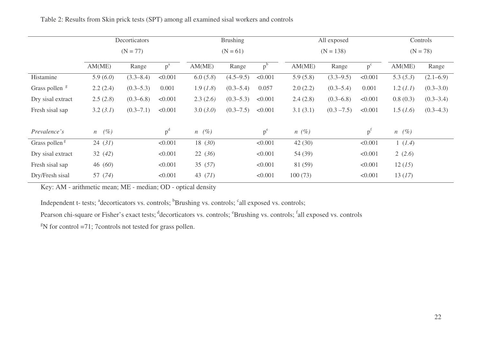|                           | Decorticators  |               |         | <b>Brushing</b>       |               |         |             | All exposed   | Controls |                       |               |
|---------------------------|----------------|---------------|---------|-----------------------|---------------|---------|-------------|---------------|----------|-----------------------|---------------|
|                           | $(N = 77)$     |               |         | $(N = 61)$            |               |         | $(N = 138)$ |               |          | $(N = 78)$            |               |
|                           | AM(ME)         | Range         | $p^a$   | AM(ME)                | Range         | $p^b$   | AM(ME)      | Range         | $p^c$    | AM(ME)                | Range         |
| Histamine                 | 5.9 $(6.0)$    | $(3.3 - 8.4)$ | < 0.001 | 6.0(5.8)              | $(4.5 - 9.5)$ | < 0.001 | 5.9(5.8)    | $(3.3 - 9.5)$ | < 0.001  | 5.3(5.3)              | $(2.1 - 6.9)$ |
| Grass pollen <sup>g</sup> | 2.2(2.4)       | $(0.3 - 5.3)$ | 0.001   | 1.9(1.8)              | $(0.3 - 5.4)$ | 0.057   | 2.0(2.2)    | $(0.3 - 5.4)$ | 0.001    | 1.2 (1.1)             | $(0.3 - 3.0)$ |
| Dry sisal extract         | 2.5(2.8)       | $(0.3 - 6.8)$ | < 0.001 | 2.3(2.6)              | $(0.3 - 5.3)$ | < 0.001 | 2.4(2.8)    | $(0.3 - 6.8)$ | < 0.001  | 0.8(0.3)              | $(0.3 - 3.4)$ |
| Fresh sisal sap           | 3.2 (3.1)      | $(0.3 - 7.1)$ | < 0.001 | 3.0 (3.0)             | $(0.3 - 7.5)$ | < 0.001 | 3.1(3.1)    | $(0.3 - 7.5)$ | < 0.001  | 1.5 (1.6)             | $(0.3-4.3)$   |
| Prevalence's              | $n \quad (\%)$ |               | $p^d$   | $n \left( \% \right)$ |               | $p^e$   | $n(\%)$     |               | $p^{I}$  | $n \left( \% \right)$ |               |
| Grass pollen <sup>g</sup> | 24(31)         |               | < 0.001 | 18 (30)               |               | < 0.001 | 42(30)      |               | < 0.001  | 1(1.4)                |               |
| Dry sisal extract         | 32(42)         |               | < 0.001 | 22(36)                |               | < 0.001 | 54 (39)     |               | < 0.001  | 2(2.6)                |               |
| Fresh sisal sap           | 46 (60)        |               | < 0.001 | 35(57)                |               | < 0.001 | 81 (59)     |               | < 0.001  | 12(15)                |               |
| Dry/Fresh sisal           | 57 (74)        |               | < 0.001 | 43 $(71)$             |               | < 0.001 | 100(73)     |               | < 0.001  | 13(17)                |               |

Table 2: Results from Skin prick tests (SPT) among all examined sisal workers and controls

Key: AM - arithmetic mean; ME - median; OD - optical density

Independent t- tests; <sup>a</sup>decorticators vs. controls; <sup>b</sup>Brushing vs. controls; <sup>c</sup>all exposed vs. controls;

Pearson chi-square or Fisher's exact tests; decorticators vs. controls; "Brushing vs. controls; <sup>f</sup>all exposed vs. controls

 $\mathrm{N}$  for control =71; 7 controls not tested for grass pollen.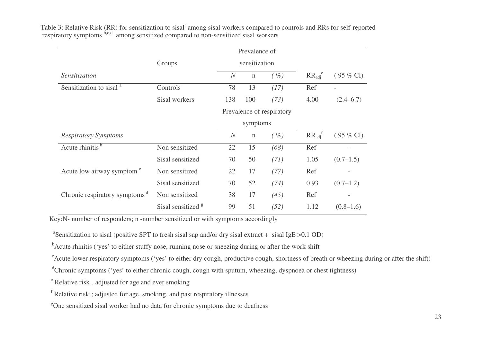|                                           |                               |                | Prevalence of |                           |                              |                     |
|-------------------------------------------|-------------------------------|----------------|---------------|---------------------------|------------------------------|---------------------|
|                                           | Groups                        |                | sensitization |                           |                              |                     |
| Sensitization                             |                               | $\overline{N}$ | $\mathbf n$   | $(\%)$                    | $RR_{\text{adj}}^e$          | $(95\% \text{ CI})$ |
| Sensitization to sisal <sup>a</sup>       | Controls                      | 78             | 13            | (17)                      | Ref                          |                     |
|                                           | Sisal workers                 | 138            | 100           | (73)                      | 4.00                         | $(2.4 - 6.7)$       |
|                                           |                               |                |               | Prevalence of respiratory |                              |                     |
|                                           |                               |                | symptoms      |                           |                              |                     |
| <b>Respiratory Symptoms</b>               |                               | $\overline{N}$ | $\mathbf n$   | $(\%)$                    | $RR_{\text{adi}}^{\text{f}}$ | $(95\% \text{ CI})$ |
| Acute rhinitis $\overline{b}$             | Non sensitized                | 22             | 15            | (68)                      | Ref                          |                     |
|                                           | Sisal sensitized              | 70             | 50            | (71)                      | 1.05                         | (0.7–1.5)           |
| Acute low airway symptom <sup>c</sup>     | Non sensitized                | 22             | 17            | (77)                      | Ref                          |                     |
|                                           | Sisal sensitized              | 70             | 52            | (74)                      | 0.93                         | (0.7–1.2)           |
| Chronic respiratory symptoms <sup>d</sup> | Non sensitized                | 38             | 17            | (45)                      | Ref                          |                     |
|                                           | Sisal sensitized <sup>g</sup> | 99             | 51            | (52)                      | 1.12                         | $(0.8-1.6)$         |

Table 3: Relative Risk (RR) for sensitization to sisal<sup>a</sup> among sisal workers compared to controls and RRs for self-reported respiratory symptoms <sup>b,c,d</sup> among sensitized compared to non-sensitized sisal workers.

Key:N- number of responders; <sup>n</sup> -number sensitized or with symptoms accordingly

<sup>a</sup>Sensitization to sisal (positive SPT to fresh sisal sap and/or dry sisal extract + sisal IgE > 0.1 OD)

<sup>b</sup>Acute rhinitis ('yes' to either stuffy nose, running nose or sneezing during or after the work shift

 $\epsilon$  Acute lower respiratory symptoms ('yes' to either dry cough, productive cough, shortness of breath or wheezing during or after the shift)

<sup>d</sup>Chronic symptoms ('yes' to either chronic cough, cough with sputum, wheezing, dyspnoea or chest tightness)

<sup>e</sup> Relative risk, adjusted for age and ever smoking

<sup>f</sup> Relative risk; adjusted for age, smoking, and past respiratory illnesses

<sup>g</sup>One sensitized sisal worker had no data for chronic symptoms due to deafness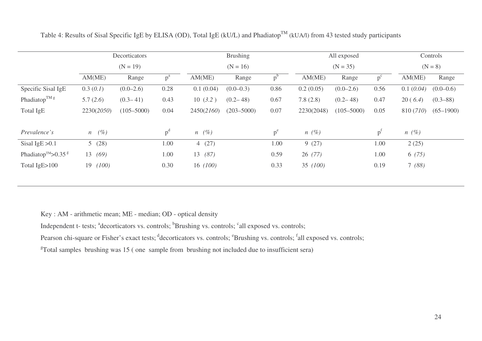|                                                                | Decorticators<br>$(N = 19)$ |                |                |                       | <b>Brushing</b> |       |            | All exposed    | Controls       |           |               |
|----------------------------------------------------------------|-----------------------------|----------------|----------------|-----------------------|-----------------|-------|------------|----------------|----------------|-----------|---------------|
|                                                                |                             |                |                | $(N = 16)$            |                 |       | $(N = 35)$ |                |                | $(N = 8)$ |               |
|                                                                | AM(ME)                      | Range          | p"             | AM(ME)                | Range           | D.    | AM(ME)     | Range          | $p^{\circ}$    | AM(ME)    | Range         |
| Specific Sisal IgE                                             | 0.3(0.1)                    | $(0.0-2.6)$    | 0.28           | 0.1(0.04)             | $(0.0-0.3)$     | 0.86  | 0.2(0.05)  | $(0.0-2.6)$    | 0.56           | 0.1(0.04) | $(0.0-0.6)$   |
| Phadiatop <sup>TM <math>g</math></sup>                         | 5.7(2.6)                    | $(0.3 - 41)$   | 0.43           | 10(3.2)               | $(0.2 - 48)$    | 0.67  | 7.8(2.8)   | $(0.2 - 48)$   | 0.47           | 20(6.4)   | $(0.3 - 88)$  |
| Total IgE                                                      | 2230(2050)                  | $(105 - 5000)$ | 0.04           | 2450(2160)            | $(203 - 5000)$  | 0.07  | 2230(2048) | $(105 - 5000)$ | 0.05           | 810 (710) | $(65 - 1900)$ |
| Prevalence's                                                   | $n \quad (\%)$              |                | p <sup>d</sup> | $n \left( \% \right)$ |                 | $p^e$ | $n(\%)$    |                | p <sup>T</sup> | $n(\%)$   |               |
| Sisal IgE $>0.1$                                               | 5(28)                       |                | 1.00           | 4(27)                 |                 | 1.00  | 9(27)      |                | 1.00           | 2(25)     |               |
| Phadiatop <sup>TM</sup> >0.35 <sup><math>\text{g}</math></sup> | (69)<br>13                  |                | 1.00           | 13(87)                |                 | 0.59  | 26(77)     |                | 1.00           | 6(75)     |               |
| Total IgE>100                                                  | 19(100)                     |                | 0.30           | 16(100)               |                 | 0.33  | 35 (100)   |                | 0.19           | 7(88)     |               |

Table 4: Results of Sisal Specific IgE by ELISA (OD), Total IgE (kU/L) and Phadiatop<sup>TM</sup> (kUA/l) from 43 tested study participants

Key : AM - arithmetic mean; ME - median; OD - optical density

Independent t- tests; <sup>a</sup>decorticators vs. controls; <sup>b</sup>Brushing vs. controls; <sup>c</sup>all exposed vs. controls;

Pearson chi-square or Fisher's exact tests; decorticators vs. controls; <sup>e</sup>Brushing vs. controls; <sup>f</sup>all exposed vs. controls;

 ${}^{g}$ Total samples brushing was 15 (one sample from brushing not included due to insufficient sera)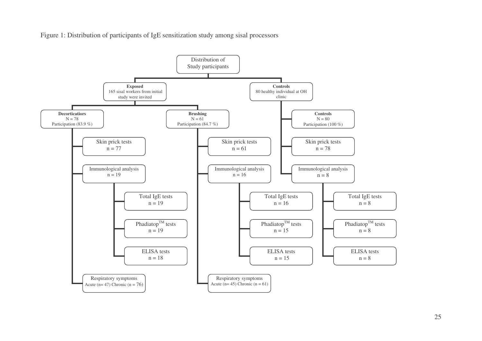Figure 1: Distribution of participants of IgE sensitization study among sisal processors